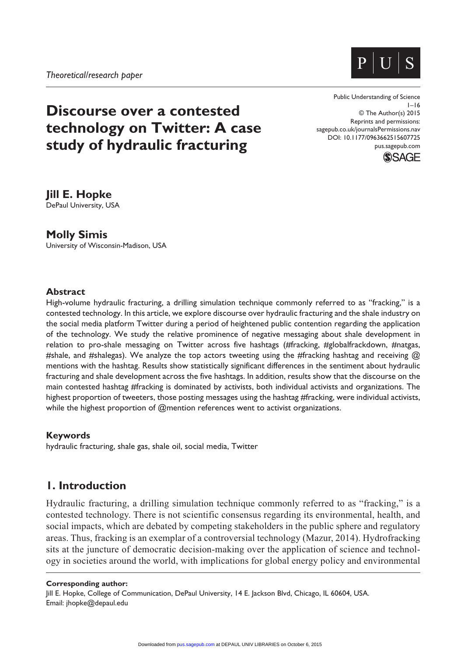

# **Discourse over a contested technology on Twitter: A case study of hydraulic fracturing**

Public Understanding of Science  $1 - 16$ © The Author(s) 2015 Reprints and permissions: sagepub.co.uk/journalsPermissions.nav DOI: 10.1177/0963662515607725 pus.sagepub.com



# **Jill E. Hopke**

DePaul University, USA

# **Molly Simis**

University of Wisconsin-Madison, USA

#### **Abstract**

High-volume hydraulic fracturing, a drilling simulation technique commonly referred to as "fracking," is a contested technology. In this article, we explore discourse over hydraulic fracturing and the shale industry on the social media platform Twitter during a period of heightened public contention regarding the application of the technology. We study the relative prominence of negative messaging about shale development in relation to pro-shale messaging on Twitter across five hashtags (#fracking, #globalfrackdown, #natgas, #shale, and #shalegas). We analyze the top actors tweeting using the #fracking hashtag and receiving  $\omega$ mentions with the hashtag. Results show statistically significant differences in the sentiment about hydraulic fracturing and shale development across the five hashtags. In addition, results show that the discourse on the main contested hashtag #fracking is dominated by activists, both individual activists and organizations. The highest proportion of tweeters, those posting messages using the hashtag #fracking, were individual activists, while the highest proportion of @mention references went to activist organizations.

## **Keywords**

hydraulic fracturing, shale gas, shale oil, social media, Twitter

# **1. Introduction**

Hydraulic fracturing, a drilling simulation technique commonly referred to as "fracking," is a contested technology. There is not scientific consensus regarding its environmental, health, and social impacts, which are debated by competing stakeholders in the public sphere and regulatory areas. Thus, fracking is an exemplar of a controversial technology (Mazur, 2014). Hydrofracking sits at the juncture of democratic decision-making over the application of science and technology in societies around the world, with implications for global energy policy and environmental

#### **Corresponding author:**

Jill E. Hopke, College of Communication, DePaul University, 14 E. Jackson Blvd, Chicago, IL 60604, USA. Email: [jhopke@depaul.edu](mailto:jhopke@depaul.edu)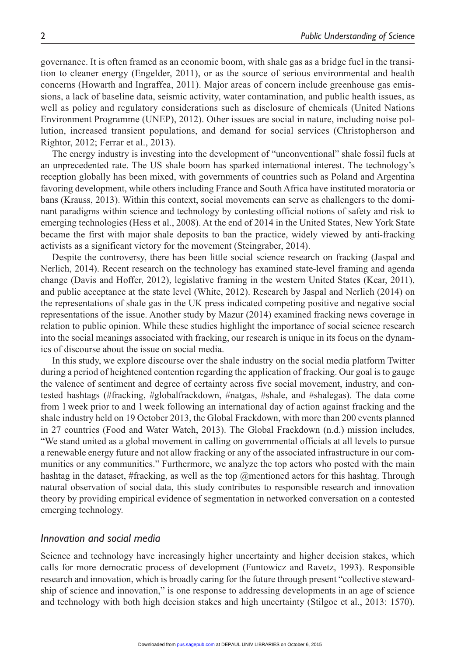governance. It is often framed as an economic boom, with shale gas as a bridge fuel in the transition to cleaner energy (Engelder, 2011), or as the source of serious environmental and health concerns (Howarth and Ingraffea, 2011). Major areas of concern include greenhouse gas emissions, a lack of baseline data, seismic activity, water contamination, and public health issues, as well as policy and regulatory considerations such as disclosure of chemicals (United Nations Environment Programme (UNEP), 2012). Other issues are social in nature, including noise pollution, increased transient populations, and demand for social services (Christopherson and Rightor, 2012; Ferrar et al., 2013).

The energy industry is investing into the development of "unconventional" shale fossil fuels at an unprecedented rate. The US shale boom has sparked international interest. The technology's reception globally has been mixed, with governments of countries such as Poland and Argentina favoring development, while others including France and South Africa have instituted moratoria or bans (Krauss, 2013). Within this context, social movements can serve as challengers to the dominant paradigms within science and technology by contesting official notions of safety and risk to emerging technologies (Hess et al., 2008). At the end of 2014 in the United States, New York State became the first with major shale deposits to ban the practice, widely viewed by anti-fracking activists as a significant victory for the movement (Steingraber, 2014).

Despite the controversy, there has been little social science research on fracking (Jaspal and Nerlich, 2014). Recent research on the technology has examined state-level framing and agenda change (Davis and Hoffer, 2012), legislative framing in the western United States (Kear, 2011), and public acceptance at the state level (White, 2012). Research by Jaspal and Nerlich (2014) on the representations of shale gas in the UK press indicated competing positive and negative social representations of the issue. Another study by Mazur (2014) examined fracking news coverage in relation to public opinion. While these studies highlight the importance of social science research into the social meanings associated with fracking, our research is unique in its focus on the dynamics of discourse about the issue on social media.

In this study, we explore discourse over the shale industry on the social media platform Twitter during a period of heightened contention regarding the application of fracking. Our goal is to gauge the valence of sentiment and degree of certainty across five social movement, industry, and contested hashtags (#fracking, #globalfrackdown, #natgas, #shale, and #shalegas). The data come from 1week prior to and 1week following an international day of action against fracking and the shale industry held on 19 October 2013, the Global Frackdown, with more than 200 events planned in 27 countries (Food and Water Watch, 2013). The Global Frackdown (n.d.) mission includes, "We stand united as a global movement in calling on governmental officials at all levels to pursue a renewable energy future and not allow fracking or any of the associated infrastructure in our communities or any communities." Furthermore, we analyze the top actors who posted with the main hashtag in the dataset, #fracking, as well as the top @mentioned actors for this hashtag. Through natural observation of social data, this study contributes to responsible research and innovation theory by providing empirical evidence of segmentation in networked conversation on a contested emerging technology.

#### *Innovation and social media*

Science and technology have increasingly higher uncertainty and higher decision stakes, which calls for more democratic process of development (Funtowicz and Ravetz, 1993). Responsible research and innovation, which is broadly caring for the future through present "collective stewardship of science and innovation," is one response to addressing developments in an age of science and technology with both high decision stakes and high uncertainty (Stilgoe et al., 2013: 1570).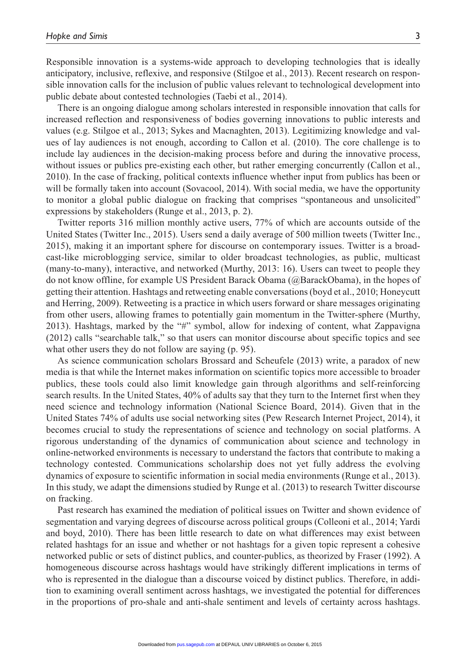Responsible innovation is a systems-wide approach to developing technologies that is ideally anticipatory, inclusive, reflexive, and responsive (Stilgoe et al., 2013). Recent research on responsible innovation calls for the inclusion of public values relevant to technological development into public debate about contested technologies (Taebi et al., 2014).

There is an ongoing dialogue among scholars interested in responsible innovation that calls for increased reflection and responsiveness of bodies governing innovations to public interests and values (e.g. Stilgoe et al., 2013; Sykes and Macnaghten, 2013). Legitimizing knowledge and values of lay audiences is not enough, according to Callon et al. (2010). The core challenge is to include lay audiences in the decision-making process before and during the innovative process, without issues or publics pre-existing each other, but rather emerging concurrently (Callon et al., 2010). In the case of fracking, political contexts influence whether input from publics has been or will be formally taken into account (Sovacool, 2014). With social media, we have the opportunity to monitor a global public dialogue on fracking that comprises "spontaneous and unsolicited" expressions by stakeholders (Runge et al., 2013, p. 2).

Twitter reports 316 million monthly active users, 77% of which are accounts outside of the United States (Twitter Inc., 2015). Users send a daily average of 500 million tweets (Twitter Inc., 2015), making it an important sphere for discourse on contemporary issues. Twitter is a broadcast-like microblogging service, similar to older broadcast technologies, as public, multicast (many-to-many), interactive, and networked (Murthy, 2013: 16). Users can tweet to people they do not know offline, for example US President Barack Obama (@BarackObama), in the hopes of getting their attention. Hashtags and retweeting enable conversations (boyd et al., 2010; Honeycutt and Herring, 2009). Retweeting is a practice in which users forward or share messages originating from other users, allowing frames to potentially gain momentum in the Twitter-sphere (Murthy, 2013). Hashtags, marked by the "#" symbol, allow for indexing of content, what Zappavigna (2012) calls "searchable talk," so that users can monitor discourse about specific topics and see what other users they do not follow are saying (p. 95).

As science communication scholars Brossard and Scheufele (2013) write, a paradox of new media is that while the Internet makes information on scientific topics more accessible to broader publics, these tools could also limit knowledge gain through algorithms and self-reinforcing search results. In the United States, 40% of adults say that they turn to the Internet first when they need science and technology information (National Science Board, 2014). Given that in the United States 74% of adults use social networking sites (Pew Research Internet Project, 2014), it becomes crucial to study the representations of science and technology on social platforms. A rigorous understanding of the dynamics of communication about science and technology in online-networked environments is necessary to understand the factors that contribute to making a technology contested. Communications scholarship does not yet fully address the evolving dynamics of exposure to scientific information in social media environments (Runge et al., 2013). In this study, we adapt the dimensions studied by Runge et al. (2013) to research Twitter discourse on fracking.

Past research has examined the mediation of political issues on Twitter and shown evidence of segmentation and varying degrees of discourse across political groups (Colleoni et al., 2014; Yardi and boyd, 2010). There has been little research to date on what differences may exist between related hashtags for an issue and whether or not hashtags for a given topic represent a cohesive networked public or sets of distinct publics, and counter-publics, as theorized by Fraser (1992). A homogeneous discourse across hashtags would have strikingly different implications in terms of who is represented in the dialogue than a discourse voiced by distinct publics. Therefore, in addition to examining overall sentiment across hashtags, we investigated the potential for differences in the proportions of pro-shale and anti-shale sentiment and levels of certainty across hashtags.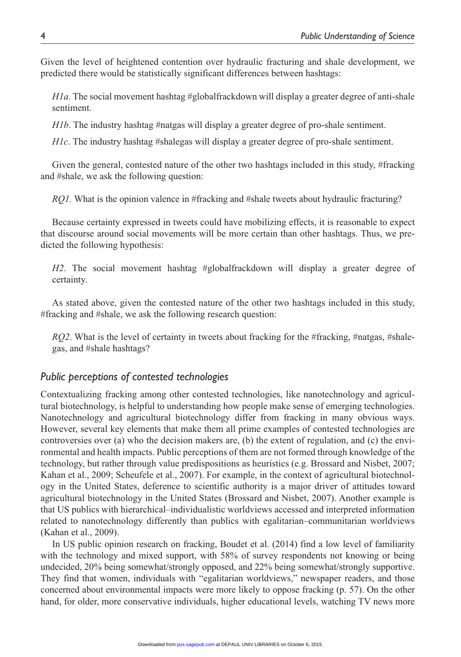Given the level of heightened contention over hydraulic fracturing and shale development, we predicted there would be statistically significant differences between hashtags:

*H1a*. The social movement hashtag #globalfrackdown will display a greater degree of anti-shale sentiment.

*H1b*. The industry hashtag #natgas will display a greater degree of pro-shale sentiment.

*H1c*. The industry hashtag #shalegas will display a greater degree of pro-shale sentiment.

Given the general, contested nature of the other two hashtags included in this study, #fracking and #shale, we ask the following question:

*RQ1*. What is the opinion valence in #fracking and #shale tweets about hydraulic fracturing?

Because certainty expressed in tweets could have mobilizing effects, it is reasonable to expect that discourse around social movements will be more certain than other hashtags. Thus, we predicted the following hypothesis:

*H2*. The social movement hashtag #globalfrackdown will display a greater degree of certainty.

As stated above, given the contested nature of the other two hashtags included in this study, #fracking and #shale, we ask the following research question:

*RQ2*. What is the level of certainty in tweets about fracking for the #fracking, #natgas, #shalegas, and #shale hashtags?

#### *Public perceptions of contested technologies*

Contextualizing fracking among other contested technologies, like nanotechnology and agricultural biotechnology, is helpful to understanding how people make sense of emerging technologies. Nanotechnology and agricultural biotechnology differ from fracking in many obvious ways. However, several key elements that make them all prime examples of contested technologies are controversies over (a) who the decision makers are, (b) the extent of regulation, and (c) the environmental and health impacts. Public perceptions of them are not formed through knowledge of the technology, but rather through value predispositions as heuristics (e.g. Brossard and Nisbet, 2007; Kahan et al., 2009; Scheufele et al., 2007). For example, in the context of agricultural biotechnology in the United States, deference to scientific authority is a major driver of attitudes toward agricultural biotechnology in the United States (Brossard and Nisbet, 2007). Another example is that US publics with hierarchical–individualistic worldviews accessed and interpreted information related to nanotechnology differently than publics with egalitarian–communitarian worldviews (Kahan et al., 2009).

In US public opinion research on fracking, Boudet et al. (2014) find a low level of familiarity with the technology and mixed support, with 58% of survey respondents not knowing or being undecided, 20% being somewhat/strongly opposed, and 22% being somewhat/strongly supportive. They find that women, individuals with "egalitarian worldviews," newspaper readers, and those concerned about environmental impacts were more likely to oppose fracking (p. 57). On the other hand, for older, more conservative individuals, higher educational levels, watching TV news more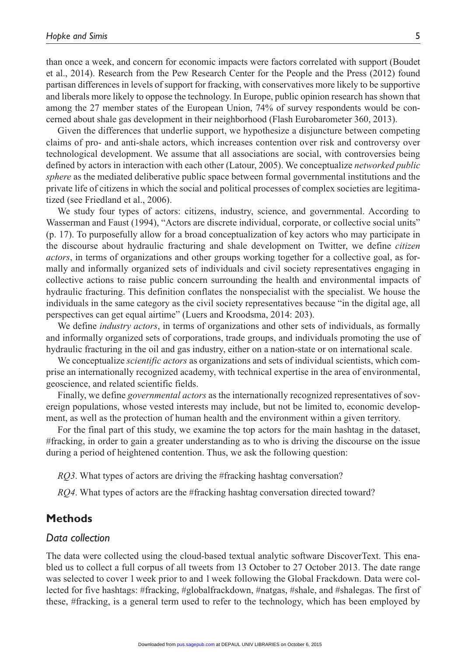than once a week, and concern for economic impacts were factors correlated with support (Boudet et al., 2014). Research from the Pew Research Center for the People and the Press (2012) found partisan differences in levels of support for fracking, with conservatives more likely to be supportive and liberals more likely to oppose the technology. In Europe, public opinion research has shown that among the 27 member states of the European Union, 74% of survey respondents would be concerned about shale gas development in their neighborhood (Flash Eurobarometer 360, 2013).

Given the differences that underlie support, we hypothesize a disjuncture between competing claims of pro- and anti-shale actors, which increases contention over risk and controversy over technological development. We assume that all associations are social, with controversies being defined by actors in interaction with each other (Latour, 2005). We conceptualize *networked public sphere* as the mediated deliberative public space between formal governmental institutions and the private life of citizens in which the social and political processes of complex societies are legitimatized (see Friedland et al., 2006).

We study four types of actors: citizens, industry, science, and governmental. According to Wasserman and Faust (1994), "Actors are discrete individual, corporate, or collective social units" (p. 17). To purposefully allow for a broad conceptualization of key actors who may participate in the discourse about hydraulic fracturing and shale development on Twitter, we define *citizen actors*, in terms of organizations and other groups working together for a collective goal, as formally and informally organized sets of individuals and civil society representatives engaging in collective actions to raise public concern surrounding the health and environmental impacts of hydraulic fracturing. This definition conflates the nonspecialist with the specialist. We house the individuals in the same category as the civil society representatives because "in the digital age, all perspectives can get equal airtime" (Luers and Kroodsma, 2014: 203).

We define *industry actors*, in terms of organizations and other sets of individuals, as formally and informally organized sets of corporations, trade groups, and individuals promoting the use of hydraulic fracturing in the oil and gas industry, either on a nation-state or on international scale.

We conceptualize *scientific actors* as organizations and sets of individual scientists, which comprise an internationally recognized academy, with technical expertise in the area of environmental, geoscience, and related scientific fields.

Finally, we define *governmental actors* as the internationally recognized representatives of sovereign populations, whose vested interests may include, but not be limited to, economic development, as well as the protection of human health and the environment within a given territory.

For the final part of this study, we examine the top actors for the main hashtag in the dataset, #fracking, in order to gain a greater understanding as to who is driving the discourse on the issue during a period of heightened contention. Thus, we ask the following question:

*RQ3*. What types of actors are driving the #fracking hashtag conversation?

*RQ4*. What types of actors are the #fracking hashtag conversation directed toward?

## **Methods**

## *Data collection*

The data were collected using the cloud-based textual analytic software DiscoverText. This enabled us to collect a full corpus of all tweets from 13 October to 27 October 2013. The date range was selected to cover 1week prior to and 1week following the Global Frackdown. Data were collected for five hashtags: #fracking, #globalfrackdown, #natgas, #shale, and #shalegas. The first of these, #fracking, is a general term used to refer to the technology, which has been employed by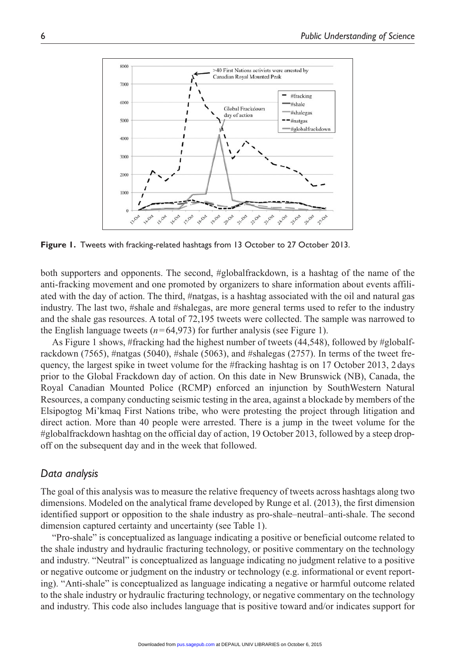

**Figure 1.** Tweets with fracking-related hashtags from 13 October to 27 October 2013.

both supporters and opponents. The second, #globalfrackdown, is a hashtag of the name of the anti-fracking movement and one promoted by organizers to share information about events affiliated with the day of action. The third, #natgas, is a hashtag associated with the oil and natural gas industry. The last two, #shale and #shalegas, are more general terms used to refer to the industry and the shale gas resources. A total of 72,195 tweets were collected. The sample was narrowed to the English language tweets  $(n=64,973)$  for further analysis (see Figure 1).

As Figure 1 shows, #fracking had the highest number of tweets (44,548), followed by #globalfrackdown (7565), #natgas (5040), #shale (5063), and #shalegas (2757). In terms of the tweet frequency, the largest spike in tweet volume for the #fracking hashtag is on 17 October 2013, 2days prior to the Global Frackdown day of action. On this date in New Brunswick (NB), Canada, the Royal Canadian Mounted Police (RCMP) enforced an injunction by SouthWestern Natural Resources, a company conducting seismic testing in the area, against a blockade by members of the Elsipogtog Mi'kmaq First Nations tribe, who were protesting the project through litigation and direct action. More than 40 people were arrested. There is a jump in the tweet volume for the #globalfrackdown hashtag on the official day of action, 19 October 2013, followed by a steep dropoff on the subsequent day and in the week that followed.

#### *Data analysis*

The goal of this analysis was to measure the relative frequency of tweets across hashtags along two dimensions. Modeled on the analytical frame developed by Runge et al. (2013), the first dimension identified support or opposition to the shale industry as pro-shale–neutral–anti-shale. The second dimension captured certainty and uncertainty (see Table 1).

"Pro-shale" is conceptualized as language indicating a positive or beneficial outcome related to the shale industry and hydraulic fracturing technology, or positive commentary on the technology and industry. "Neutral" is conceptualized as language indicating no judgment relative to a positive or negative outcome or judgment on the industry or technology (e.g. informational or event reporting). "Anti-shale" is conceptualized as language indicating a negative or harmful outcome related to the shale industry or hydraulic fracturing technology, or negative commentary on the technology and industry. This code also includes language that is positive toward and/or indicates support for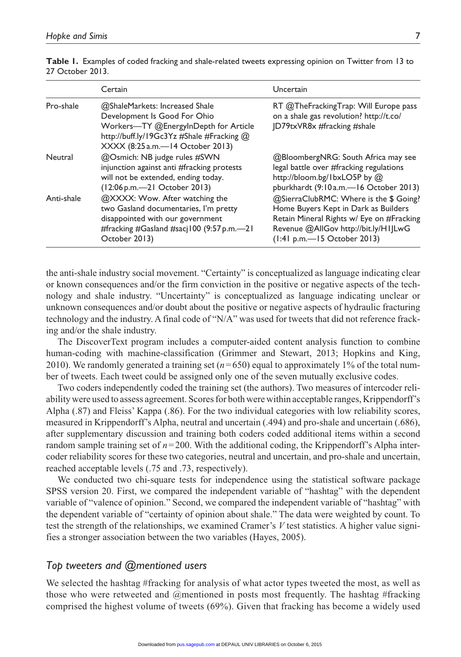|            | Certain                                                                                                                                                                                  | Uncertain                                                                                                                                                                                          |
|------------|------------------------------------------------------------------------------------------------------------------------------------------------------------------------------------------|----------------------------------------------------------------------------------------------------------------------------------------------------------------------------------------------------|
| Pro-shale  | @ShaleMarkets: Increased Shale<br>Development Is Good For Ohio<br>Workers-TY @EnergyInDepth for Article<br>http://buff.ly/19Gc3Yz #Shale #Fracking @<br>XXXX (8:25 a.m.—14 October 2013) | RT @TheFrackingTrap: Will Europe pass<br>on a shale gas revolution? http://t.co/<br>JD79txVR8x #fracking #shale                                                                                    |
| Neutral    | @Osmich: NB judge rules #SWN<br>injunction against anti #fracking protests<br>will not be extended, ending today.<br>(12:06 p.m. - 21 October 2013)                                      | @BloombergNRG: South Africa may see<br>legal battle over #fracking regulations<br>http://bloom.bg/1bxLO5P by @<br>pburkhardt (9:10a.m.-16 October 2013)                                            |
| Anti-shale | @XXXX: Wow. After watching the<br>two Gasland documentaries, I'm pretty<br>disappointed with our government<br>#fracking #Gasland #sacj100 $(9:57 p.m. - 21)$<br>October 2013)           | @SierraClubRMC: Where is the \$ Going?<br>Home Buyers Kept in Dark as Builders<br>Retain Mineral Rights w/ Eye on #Fracking<br>Revenue @AllGov http://bit.ly/H1JLwG<br>(1:41 p.m.-15 October 2013) |

**Table 1.** Examples of coded fracking and shale-related tweets expressing opinion on Twitter from 13 to 27 October 2013.

the anti-shale industry social movement. "Certainty" is conceptualized as language indicating clear or known consequences and/or the firm conviction in the positive or negative aspects of the technology and shale industry. "Uncertainty" is conceptualized as language indicating unclear or unknown consequences and/or doubt about the positive or negative aspects of hydraulic fracturing technology and the industry. A final code of "N/A" was used for tweets that did not reference fracking and/or the shale industry.

The DiscoverText program includes a computer-aided content analysis function to combine human-coding with machine-classification (Grimmer and Stewart, 2013; Hopkins and King, 2010). We randomly generated a training set (*n*=650) equal to approximately 1% of the total number of tweets. Each tweet could be assigned only one of the seven mutually exclusive codes.

Two coders independently coded the training set (the authors). Two measures of intercoder reliability were used to assess agreement. Scores for both were within acceptable ranges, Krippendorff's Alpha (.87) and Fleiss' Kappa (.86). For the two individual categories with low reliability scores, measured in Krippendorff's Alpha, neutral and uncertain (.494) and pro-shale and uncertain (.686), after supplementary discussion and training both coders coded additional items within a second random sample training set of  $n=200$ . With the additional coding, the Krippendorff's Alpha intercoder reliability scores for these two categories, neutral and uncertain, and pro-shale and uncertain, reached acceptable levels (.75 and .73, respectively).

We conducted two chi-square tests for independence using the statistical software package SPSS version 20. First, we compared the independent variable of "hashtag" with the dependent variable of "valence of opinion." Second, we compared the independent variable of "hashtag" with the dependent variable of "certainty of opinion about shale." The data were weighted by count. To test the strength of the relationships, we examined Cramer's *V* test statistics. A higher value signifies a stronger association between the two variables (Hayes, 2005).

## *Top tweeters and @mentioned users*

We selected the hashtag #fracking for analysis of what actor types tweeted the most, as well as those who were retweeted and @mentioned in posts most frequently. The hashtag #fracking comprised the highest volume of tweets (69%). Given that fracking has become a widely used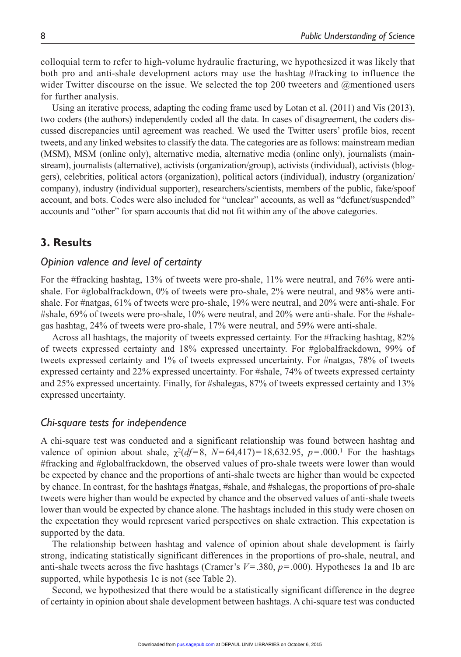colloquial term to refer to high-volume hydraulic fracturing, we hypothesized it was likely that both pro and anti-shale development actors may use the hashtag #fracking to influence the wider Twitter discourse on the issue. We selected the top 200 tweeters and @mentioned users for further analysis.

Using an iterative process, adapting the coding frame used by Lotan et al. (2011) and Vis (2013), two coders (the authors) independently coded all the data. In cases of disagreement, the coders discussed discrepancies until agreement was reached. We used the Twitter users' profile bios, recent tweets, and any linked websites to classify the data. The categories are as follows: mainstream median (MSM), MSM (online only), alternative media, alternative media (online only), journalists (mainstream), journalists (alternative), activists (organization/group), activists (individual), activists (bloggers), celebrities, political actors (organization), political actors (individual), industry (organization/ company), industry (individual supporter), researchers/scientists, members of the public, fake/spoof account, and bots. Codes were also included for "unclear" accounts, as well as "defunct/suspended" accounts and "other" for spam accounts that did not fit within any of the above categories.

### **3. Results**

## *Opinion valence and level of certainty*

For the #fracking hashtag, 13% of tweets were pro-shale, 11% were neutral, and 76% were antishale. For #globalfrackdown, 0% of tweets were pro-shale, 2% were neutral, and 98% were antishale. For #natgas, 61% of tweets were pro-shale, 19% were neutral, and 20% were anti-shale. For #shale, 69% of tweets were pro-shale, 10% were neutral, and 20% were anti-shale. For the #shalegas hashtag, 24% of tweets were pro-shale, 17% were neutral, and 59% were anti-shale.

Across all hashtags, the majority of tweets expressed certainty. For the #fracking hashtag, 82% of tweets expressed certainty and 18% expressed uncertainty. For #globalfrackdown, 99% of tweets expressed certainty and 1% of tweets expressed uncertainty. For #natgas, 78% of tweets expressed certainty and 22% expressed uncertainty. For #shale, 74% of tweets expressed certainty and 25% expressed uncertainty. Finally, for #shalegas, 87% of tweets expressed certainty and 13% expressed uncertainty.

#### *Chi-square tests for independence*

A chi-square test was conducted and a significant relationship was found between hashtag and valence of opinion about shale,  $\chi^2(df=8, N=64,417)=18,632.95, p=.000.1$  For the hashtags #fracking and #globalfrackdown, the observed values of pro-shale tweets were lower than would be expected by chance and the proportions of anti-shale tweets are higher than would be expected by chance. In contrast, for the hashtags #natgas, #shale, and #shalegas, the proportions of pro-shale tweets were higher than would be expected by chance and the observed values of anti-shale tweets lower than would be expected by chance alone. The hashtags included in this study were chosen on the expectation they would represent varied perspectives on shale extraction. This expectation is supported by the data.

The relationship between hashtag and valence of opinion about shale development is fairly strong, indicating statistically significant differences in the proportions of pro-shale, neutral, and anti-shale tweets across the five hashtags (Cramer's *V*=.380, *p*=.000). Hypotheses 1a and 1b are supported, while hypothesis 1c is not (see Table 2).

Second, we hypothesized that there would be a statistically significant difference in the degree of certainty in opinion about shale development between hashtags. A chi-square test was conducted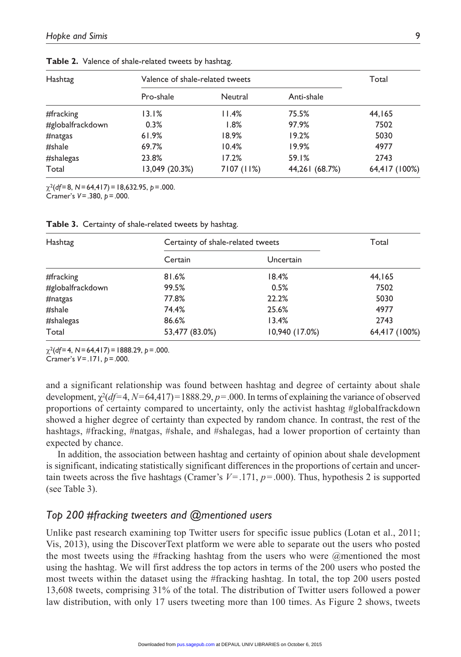| Hashtag          | Valence of shale-related tweets |            |                | Total         |
|------------------|---------------------------------|------------|----------------|---------------|
|                  | Pro-shale                       | Neutral    | Anti-shale     |               |
| #fracking        | 13.1%                           | 11.4%      | 75.5%          | 44,165        |
| #globalfrackdown | 0.3%                            | 1.8%       | 97.9%          | 7502          |
| #natgas          | 61.9%                           | 18.9%      | 19.2%          | 5030          |
| #shale           | 69.7%                           | 10.4%      | 19.9%          | 4977          |
| #shalegas        | 23.8%                           | 17.2%      | 59.1%          | 2743          |
| Total            | 13,049 (20.3%)                  | 7107 (11%) | 44,261 (68.7%) | 64,417 (100%) |

**Table 2.** Valence of shale-related tweets by hashtag.

χ2(*df*=8, *N*=64,417)=18,632.95, *p*=.000.

Cramer's *V*=.380, *p*=.000.

| Hashtag          | Certainty of shale-related tweets |                | Total         |
|------------------|-----------------------------------|----------------|---------------|
|                  | Certain                           | Uncertain      |               |
| #fracking        | 81.6%                             | 18.4%          | 44,165        |
| #globalfrackdown | 99.5%                             | 0.5%           | 7502          |
| #natgas          | 77.8%                             | 22.2%          | 5030          |
| #shale           | 74.4%                             | 25.6%          | 4977          |
| #shalegas        | 86.6%                             | 13.4%          | 2743          |
| Total            | 53,477 (83.0%)                    | 10,940 (17.0%) | 64,417 (100%) |

**Table 3.** Certainty of shale-related tweets by hashtag.

χ2(*df*=4, *N*=64,417)=1888.29, *p*=.000.

Cramer's *V*=.171, *p*=.000.

and a significant relationship was found between hashtag and degree of certainty about shale development, χ2(*df*=4, *N*=64,417)=1888.29, *p*=.000. In terms of explaining the variance of observed proportions of certainty compared to uncertainty, only the activist hashtag #globalfrackdown showed a higher degree of certainty than expected by random chance. In contrast, the rest of the hashtags, #fracking, #natgas, #shale, and #shalegas, had a lower proportion of certainty than expected by chance.

In addition, the association between hashtag and certainty of opinion about shale development is significant, indicating statistically significant differences in the proportions of certain and uncertain tweets across the five hashtags (Cramer's *V*=.171, *p*=.000). Thus, hypothesis 2 is supported (see Table 3).

# *Top 200 #fracking tweeters and @mentioned users*

Unlike past research examining top Twitter users for specific issue publics (Lotan et al., 2011; Vis, 2013), using the DiscoverText platform we were able to separate out the users who posted the most tweets using the #fracking hashtag from the users who were  $@$ mentioned the most using the hashtag. We will first address the top actors in terms of the 200 users who posted the most tweets within the dataset using the #fracking hashtag. In total, the top 200 users posted 13,608 tweets, comprising 31% of the total. The distribution of Twitter users followed a power law distribution, with only 17 users tweeting more than 100 times. As Figure 2 shows, tweets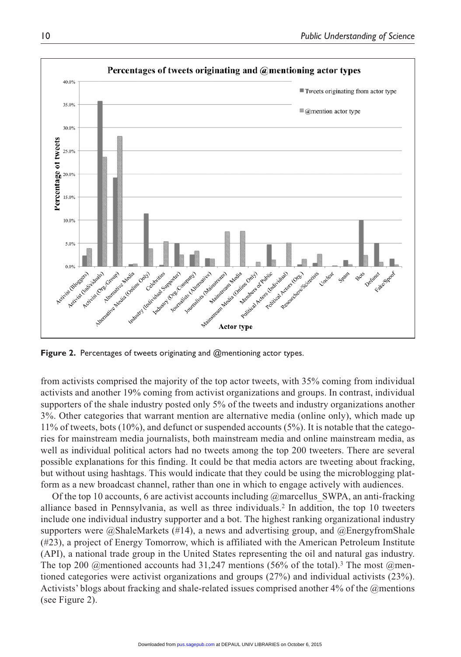

**Figure 2.** Percentages of tweets originating and @mentioning actor types.

from activists comprised the majority of the top actor tweets, with 35% coming from individual activists and another 19% coming from activist organizations and groups. In contrast, individual supporters of the shale industry posted only 5% of the tweets and industry organizations another 3%. Other categories that warrant mention are alternative media (online only), which made up 11% of tweets, bots (10%), and defunct or suspended accounts (5%). It is notable that the categories for mainstream media journalists, both mainstream media and online mainstream media, as well as individual political actors had no tweets among the top 200 tweeters. There are several possible explanations for this finding. It could be that media actors are tweeting about fracking, but without using hashtags. This would indicate that they could be using the microblogging platform as a new broadcast channel, rather than one in which to engage actively with audiences.

Of the top 10 accounts, 6 are activist accounts including  $@$ marcellus SWPA, an anti-fracking alliance based in Pennsylvania, as well as three individuals.2 In addition, the top 10 tweeters include one individual industry supporter and a bot. The highest ranking organizational industry supporters were  $\omega$ ShaleMarkets (#14), a news and advertising group, and  $\omega$ EnergyfromShale (#23), a project of Energy Tomorrow, which is affiliated with the American Petroleum Institute (API), a national trade group in the United States representing the oil and natural gas industry. The top 200 @mentioned accounts had 31,247 mentions (56% of the total).<sup>3</sup> The most @mentioned categories were activist organizations and groups (27%) and individual activists (23%). Activists' blogs about fracking and shale-related issues comprised another 4% of the @mentions (see Figure 2).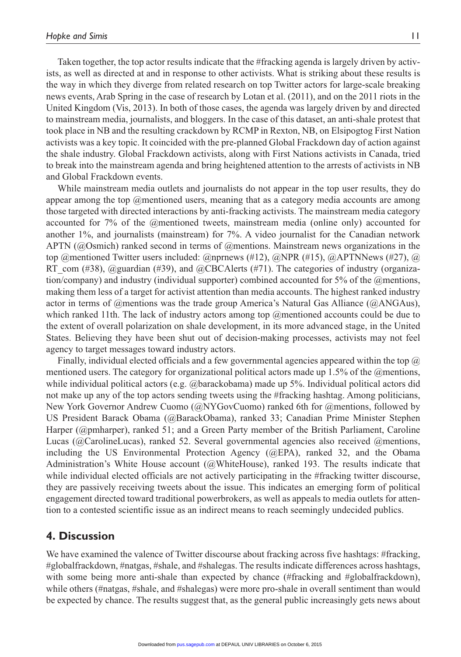Taken together, the top actor results indicate that the #fracking agenda is largely driven by activists, as well as directed at and in response to other activists. What is striking about these results is the way in which they diverge from related research on top Twitter actors for large-scale breaking news events, Arab Spring in the case of research by Lotan et al. (2011), and on the 2011 riots in the United Kingdom (Vis, 2013). In both of those cases, the agenda was largely driven by and directed to mainstream media, journalists, and bloggers. In the case of this dataset, an anti-shale protest that took place in NB and the resulting crackdown by RCMP in Rexton, NB, on Elsipogtog First Nation activists was a key topic. It coincided with the pre-planned Global Frackdown day of action against the shale industry. Global Frackdown activists, along with First Nations activists in Canada, tried to break into the mainstream agenda and bring heightened attention to the arrests of activists in NB and Global Frackdown events.

While mainstream media outlets and journalists do not appear in the top user results, they do appear among the top @mentioned users, meaning that as a category media accounts are among those targeted with directed interactions by anti-fracking activists. The mainstream media category accounted for 7% of the @mentioned tweets, mainstream media (online only) accounted for another 1%, and journalists (mainstream) for 7%. A video journalist for the Canadian network APTN (@Osmich) ranked second in terms of @mentions. Mainstream news organizations in the top @mentioned Twitter users included: @nprnews (#12), @NPR (#15), @APTNNews (#27), @ RT\_com (#38), @guardian (#39), and @CBCAlerts (#71). The categories of industry (organization/company) and industry (individual supporter) combined accounted for 5% of the @mentions, making them less of a target for activist attention than media accounts. The highest ranked industry actor in terms of @mentions was the trade group America's Natural Gas Alliance (@ANGAus), which ranked 11th. The lack of industry actors among top  $@$ mentioned accounts could be due to the extent of overall polarization on shale development, in its more advanced stage, in the United States. Believing they have been shut out of decision-making processes, activists may not feel agency to target messages toward industry actors.

Finally, individual elected officials and a few governmental agencies appeared within the top @ mentioned users. The category for organizational political actors made up 1.5% of the @mentions, while individual political actors (e.g. @barackobama) made up 5%. Individual political actors did not make up any of the top actors sending tweets using the #fracking hashtag. Among politicians, New York Governor Andrew Cuomo (@NYGovCuomo) ranked 6th for @mentions, followed by US President Barack Obama (@BarackObama), ranked 33; Canadian Prime Minister Stephen Harper (@pmharper), ranked 51; and a Green Party member of the British Parliament, Caroline Lucas (@CarolineLucas), ranked 52. Several governmental agencies also received @mentions, including the US Environmental Protection Agency (@EPA), ranked 32, and the Obama Administration's White House account (@WhiteHouse), ranked 193. The results indicate that while individual elected officials are not actively participating in the #fracking twitter discourse, they are passively receiving tweets about the issue. This indicates an emerging form of political engagement directed toward traditional powerbrokers, as well as appeals to media outlets for attention to a contested scientific issue as an indirect means to reach seemingly undecided publics.

## **4. Discussion**

We have examined the valence of Twitter discourse about fracking across five hashtags: #fracking, #globalfrackdown, #natgas, #shale, and #shalegas. The results indicate differences across hashtags, with some being more anti-shale than expected by chance (#fracking and #globalfrackdown), while others (#natgas, #shale, and #shalegas) were more pro-shale in overall sentiment than would be expected by chance. The results suggest that, as the general public increasingly gets news about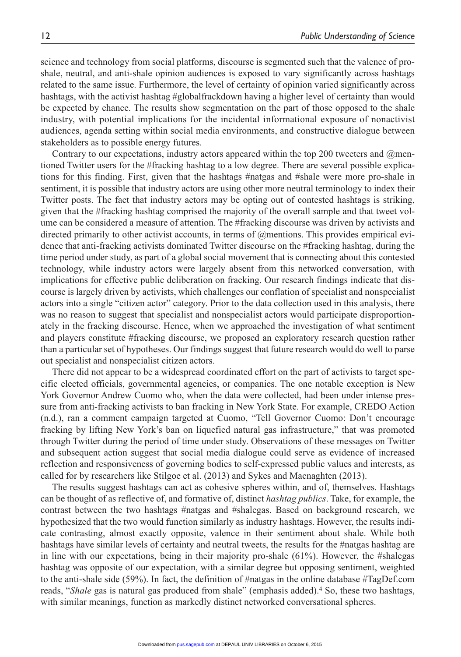science and technology from social platforms, discourse is segmented such that the valence of proshale, neutral, and anti-shale opinion audiences is exposed to vary significantly across hashtags related to the same issue. Furthermore, the level of certainty of opinion varied significantly across hashtags, with the activist hashtag #globalfrackdown having a higher level of certainty than would be expected by chance. The results show segmentation on the part of those opposed to the shale industry, with potential implications for the incidental informational exposure of nonactivist audiences, agenda setting within social media environments, and constructive dialogue between stakeholders as to possible energy futures.

Contrary to our expectations, industry actors appeared within the top 200 tweeters and @mentioned Twitter users for the #fracking hashtag to a low degree. There are several possible explications for this finding. First, given that the hashtags #natgas and #shale were more pro-shale in sentiment, it is possible that industry actors are using other more neutral terminology to index their Twitter posts. The fact that industry actors may be opting out of contested hashtags is striking, given that the #fracking hashtag comprised the majority of the overall sample and that tweet volume can be considered a measure of attention. The #fracking discourse was driven by activists and directed primarily to other activist accounts, in terms of @mentions. This provides empirical evidence that anti-fracking activists dominated Twitter discourse on the #fracking hashtag, during the time period under study, as part of a global social movement that is connecting about this contested technology, while industry actors were largely absent from this networked conversation, with implications for effective public deliberation on fracking. Our research findings indicate that discourse is largely driven by activists, which challenges our conflation of specialist and nonspecialist actors into a single "citizen actor" category. Prior to the data collection used in this analysis, there was no reason to suggest that specialist and nonspecialist actors would participate disproportionately in the fracking discourse. Hence, when we approached the investigation of what sentiment and players constitute #fracking discourse, we proposed an exploratory research question rather than a particular set of hypotheses. Our findings suggest that future research would do well to parse out specialist and nonspecialist citizen actors.

There did not appear to be a widespread coordinated effort on the part of activists to target specific elected officials, governmental agencies, or companies. The one notable exception is New York Governor Andrew Cuomo who, when the data were collected, had been under intense pressure from anti-fracking activists to ban fracking in New York State. For example, CREDO Action (n.d.), ran a comment campaign targeted at Cuomo, "Tell Governor Cuomo: Don't encourage fracking by lifting New York's ban on liquefied natural gas infrastructure," that was promoted through Twitter during the period of time under study. Observations of these messages on Twitter and subsequent action suggest that social media dialogue could serve as evidence of increased reflection and responsiveness of governing bodies to self-expressed public values and interests, as called for by researchers like Stilgoe et al. (2013) and Sykes and Macnaghten (2013).

The results suggest hashtags can act as cohesive spheres within, and of, themselves. Hashtags can be thought of as reflective of, and formative of, distinct *hashtag publics*. Take, for example, the contrast between the two hashtags #natgas and #shalegas. Based on background research, we hypothesized that the two would function similarly as industry hashtags. However, the results indicate contrasting, almost exactly opposite, valence in their sentiment about shale. While both hashtags have similar levels of certainty and neutral tweets, the results for the #natgas hashtag are in line with our expectations, being in their majority pro-shale  $(61\%)$ . However, the #shalegas hashtag was opposite of our expectation, with a similar degree but opposing sentiment, weighted to the anti-shale side (59%). In fact, the definition of #natgas in the online database #TagDef.com reads, "*Shale* gas is natural gas produced from shale" (emphasis added).4 So, these two hashtags, with similar meanings, function as markedly distinct networked conversational spheres.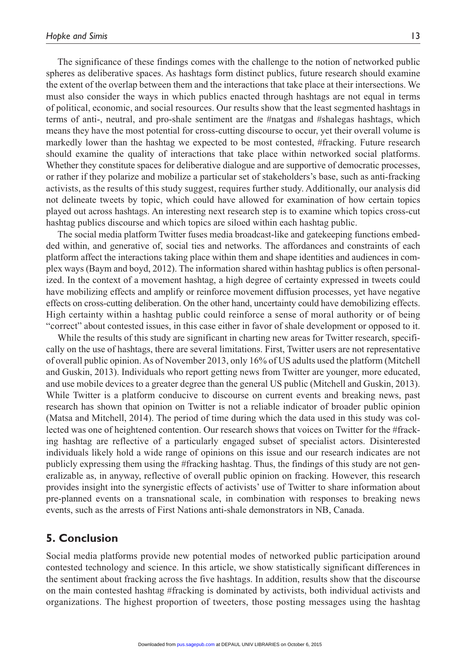The significance of these findings comes with the challenge to the notion of networked public spheres as deliberative spaces. As hashtags form distinct publics, future research should examine the extent of the overlap between them and the interactions that take place at their intersections. We must also consider the ways in which publics enacted through hashtags are not equal in terms of political, economic, and social resources. Our results show that the least segmented hashtags in terms of anti-, neutral, and pro-shale sentiment are the #natgas and #shalegas hashtags, which means they have the most potential for cross-cutting discourse to occur, yet their overall volume is markedly lower than the hashtag we expected to be most contested, #fracking. Future research should examine the quality of interactions that take place within networked social platforms. Whether they constitute spaces for deliberative dialogue and are supportive of democratic processes, or rather if they polarize and mobilize a particular set of stakeholders's base, such as anti-fracking activists, as the results of this study suggest, requires further study. Additionally, our analysis did not delineate tweets by topic, which could have allowed for examination of how certain topics played out across hashtags. An interesting next research step is to examine which topics cross-cut hashtag publics discourse and which topics are siloed within each hashtag public.

The social media platform Twitter fuses media broadcast-like and gatekeeping functions embedded within, and generative of, social ties and networks. The affordances and constraints of each platform affect the interactions taking place within them and shape identities and audiences in complex ways (Baym and boyd, 2012). The information shared within hashtag publics is often personalized. In the context of a movement hashtag, a high degree of certainty expressed in tweets could have mobilizing effects and amplify or reinforce movement diffusion processes, yet have negative effects on cross-cutting deliberation. On the other hand, uncertainty could have demobilizing effects. High certainty within a hashtag public could reinforce a sense of moral authority or of being "correct" about contested issues, in this case either in favor of shale development or opposed to it.

While the results of this study are significant in charting new areas for Twitter research, specifically on the use of hashtags, there are several limitations. First, Twitter users are not representative of overall public opinion. As of November 2013, only 16% of US adults used the platform (Mitchell and Guskin, 2013). Individuals who report getting news from Twitter are younger, more educated, and use mobile devices to a greater degree than the general US public (Mitchell and Guskin, 2013). While Twitter is a platform conducive to discourse on current events and breaking news, past research has shown that opinion on Twitter is not a reliable indicator of broader public opinion (Matsa and Mitchell, 2014). The period of time during which the data used in this study was collected was one of heightened contention. Our research shows that voices on Twitter for the #fracking hashtag are reflective of a particularly engaged subset of specialist actors. Disinterested individuals likely hold a wide range of opinions on this issue and our research indicates are not publicly expressing them using the #fracking hashtag. Thus, the findings of this study are not generalizable as, in anyway, reflective of overall public opinion on fracking. However, this research provides insight into the synergistic effects of activists' use of Twitter to share information about pre-planned events on a transnational scale, in combination with responses to breaking news events, such as the arrests of First Nations anti-shale demonstrators in NB, Canada.

# **5. Conclusion**

Social media platforms provide new potential modes of networked public participation around contested technology and science. In this article, we show statistically significant differences in the sentiment about fracking across the five hashtags. In addition, results show that the discourse on the main contested hashtag #fracking is dominated by activists, both individual activists and organizations. The highest proportion of tweeters, those posting messages using the hashtag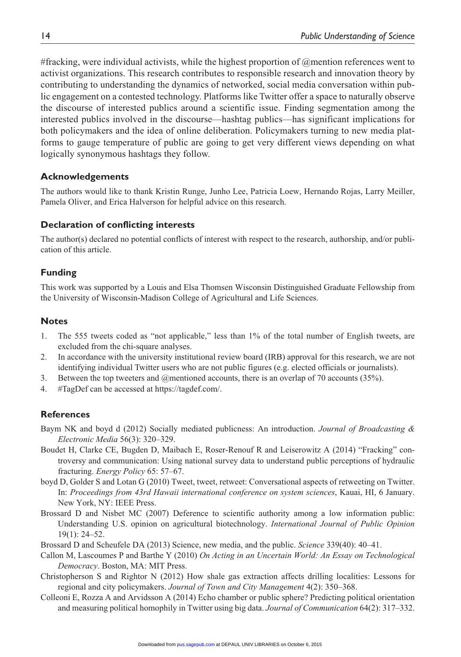#fracking, were individual activists, while the highest proportion of @mention references went to activist organizations. This research contributes to responsible research and innovation theory by contributing to understanding the dynamics of networked, social media conversation within public engagement on a contested technology. Platforms like Twitter offer a space to naturally observe the discourse of interested publics around a scientific issue. Finding segmentation among the interested publics involved in the discourse—hashtag publics—has significant implications for both policymakers and the idea of online deliberation. Policymakers turning to new media platforms to gauge temperature of public are going to get very different views depending on what logically synonymous hashtags they follow.

#### **Acknowledgements**

The authors would like to thank Kristin Runge, Junho Lee, Patricia Loew, Hernando Rojas, Larry Meiller, Pamela Oliver, and Erica Halverson for helpful advice on this research.

#### **Declaration of conflicting interests**

The author(s) declared no potential conflicts of interest with respect to the research, authorship, and/or publication of this article.

#### **Funding**

This work was supported by a Louis and Elsa Thomsen Wisconsin Distinguished Graduate Fellowship from the University of Wisconsin-Madison College of Agricultural and Life Sciences.

#### **Notes**

- 1. The 555 tweets coded as "not applicable," less than 1% of the total number of English tweets, are excluded from the chi-square analyses.
- 2. In accordance with the university institutional review board (IRB) approval for this research, we are not identifying individual Twitter users who are not public figures (e.g. elected officials or journalists).
- 3. Between the top tweeters and @mentioned accounts, there is an overlap of 70 accounts (35%).
- 4. #TagDef can be accessed at [https://tagdef.com/.](https://tagdef.com/)

#### **References**

- Baym NK and boyd d (2012) Socially mediated publicness: An introduction. *Journal of Broadcasting & Electronic Media* 56(3): 320–329.
- Boudet H, Clarke CE, Bugden D, Maibach E, Roser-Renouf R and Leiserowitz A (2014) "Fracking" controversy and communication: Using national survey data to understand public perceptions of hydraulic fracturing. *Energy Policy* 65: 57–67.
- boyd D, Golder S and Lotan G (2010) Tweet, tweet, retweet: Conversational aspects of retweeting on Twitter. In: *Proceedings from 43rd Hawaii international conference on system sciences*, Kauai, HI, 6 January. New York, NY: IEEE Press.
- Brossard D and Nisbet MC (2007) Deference to scientific authority among a low information public: Understanding U.S. opinion on agricultural biotechnology. *International Journal of Public Opinion* 19(1): 24–52.

Brossard D and Scheufele DA (2013) Science, new media, and the public. *Science* 339(40): 40–41.

- Callon M, Lascoumes P and Barthe Y (2010) *On Acting in an Uncertain World: An Essay on Technological Democracy*. Boston, MA: MIT Press.
- Christopherson S and Rightor N (2012) How shale gas extraction affects drilling localities: Lessons for regional and city policymakers. *Journal of Town and City Management* 4(2): 350–368.
- Colleoni E, Rozza A and Arvidsson A (2014) Echo chamber or public sphere? Predicting political orientation and measuring political homophily in Twitter using big data. *Journal of Communication* 64(2): 317–332.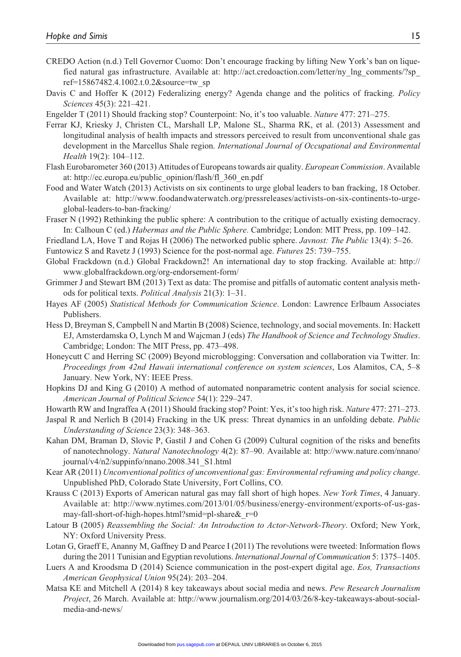- CREDO Action (n.d.) Tell Governor Cuomo: Don't encourage fracking by lifting New York's ban on liquefied natural gas infrastructure. Available at: [http://act.credoaction.com/letter/ny\\_lng\\_comments/?sp\\_](http://act.credoaction.com/letter/ny_lng_comments/?sp_ref=15867482.4.1002.t.0.2&source=tw_sp) [ref=15867482.4.1002.t.0.2&source=tw\\_sp](http://act.credoaction.com/letter/ny_lng_comments/?sp_ref=15867482.4.1002.t.0.2&source=tw_sp)
- Davis C and Hoffer K (2012) Federalizing energy? Agenda change and the politics of fracking. *Policy Sciences* 45(3): 221–421.
- Engelder T (2011) Should fracking stop? Counterpoint: No, it's too valuable. *Nature* 477: 271–275.
- Ferrar KJ, Kriesky J, Christen CL, Marshall LP, Malone SL, Sharma RK, et al. (2013) Assessment and longitudinal analysis of health impacts and stressors perceived to result from unconventional shale gas development in the Marcellus Shale region. *International Journal of Occupational and Environmental Health* 19(2): 104–112.
- Flash Eurobarometer 360 (2013) Attitudes of Europeans towards air quality. *European Commission*. Available at: [http://ec.europa.eu/public\\_opinion/flash/fl\\_360\\_en.pdf](http://ec.europa.eu/public_opinion/flash/fl_360_en.pdf)
- Food and Water Watch (2013) Activists on six continents to urge global leaders to ban fracking, 18 October. Available at: [http://www.foodandwaterwatch.org/pressreleases/activists-on-six-continents-to-urge](http://www.foodandwaterwatch.org/pressreleases/activists-on-six-continents-to-urge-global-leaders-to-ban-fracking/)[global-leaders-to-ban-fracking/](http://www.foodandwaterwatch.org/pressreleases/activists-on-six-continents-to-urge-global-leaders-to-ban-fracking/)
- Fraser N (1992) Rethinking the public sphere: A contribution to the critique of actually existing democracy. In: Calhoun C (ed.) *Habermas and the Public Sphere*. Cambridge; London: MIT Press, pp. 109–142.
- Friedland LA, Hove T and Rojas H (2006) The networked public sphere. *Javnost: The Public* 13(4): 5–26.
- Funtowicz S and Ravetz J (1993) Science for the post-normal age. *Futures* 25: 739–755.
- Global Frackdown (n.d.) Global Frackdown2! An international day to stop fracking. Available at: [http://](http://www.globalfrackdown.org/org-endorsement-form/) [www.globalfrackdown.org/org-endorsement-form/](http://www.globalfrackdown.org/org-endorsement-form/)
- Grimmer J and Stewart BM (2013) Text as data: The promise and pitfalls of automatic content analysis methods for political texts. *Political Analysis* 21(3): 1–31.
- Hayes AF (2005) *Statistical Methods for Communication Science*. London: Lawrence Erlbaum Associates Publishers.
- Hess D, Breyman S, Campbell N and Martin B (2008) Science, technology, and social movements. In: Hackett EJ, Amsterdamska O, Lynch M and Wajcman J (eds) *The Handbook of Science and Technology Studies*. Cambridge; London: The MIT Press, pp. 473–498.
- Honeycutt C and Herring SC (2009) Beyond microblogging: Conversation and collaboration via Twitter. In: *Proceedings from 42nd Hawaii international conference on system sciences*, Los Alamitos, CA, 5–8 January. New York, NY: IEEE Press.
- Hopkins DJ and King G (2010) A method of automated nonparametric content analysis for social science. *American Journal of Political Science* 54(1): 229–247.
- Howarth RW and Ingraffea A (2011) Should fracking stop? Point: Yes, it's too high risk. *Nature* 477: 271–273.
- Jaspal R and Nerlich B (2014) Fracking in the UK press: Threat dynamics in an unfolding debate. *Public Understanding of Science* 23(3): 348–363.
- Kahan DM, Braman D, Slovic P, Gastil J and Cohen G (2009) Cultural cognition of the risks and benefits of nanotechnology. *Natural Nanotechnology* 4(2): 87–90. Available at: [http://www.nature.com/nnano/](http://www.nature.com/nnano/journal/v4/n2/suppinfo/nnano.2008.341_S1.html) [journal/v4/n2/suppinfo/nnano.2008.341\\_S1.html](http://www.nature.com/nnano/journal/v4/n2/suppinfo/nnano.2008.341_S1.html)
- Kear AR (2011) *Unconventional politics of unconventional gas: Environmental reframing and policy change*. Unpublished PhD, Colorado State University, Fort Collins, CO.
- Krauss C (2013) Exports of American natural gas may fall short of high hopes. *New York Times*, 4 January. Available at: [http://www.nytimes.com/2013/01/05/business/energy-environment/exports-of-us-gas](http://www.nytimes.com/2013/01/05/business/energy-environment/exports-of-us-gas-may-fall-short-of-high-hopes.html?smid=pl-share&_r=0)may-fall-short-of-high-hopes.html?smid=pl-share $&r=0$
- Latour B (2005) *Reassembling the Social: An Introduction to Actor-Network-Theory*. Oxford; New York, NY: Oxford University Press.
- Lotan G, Graeff E, Ananny M, Gaffney D and Pearce I (2011) The revolutions were tweeted: Information flows during the 2011 Tunisian and Egyptian revolutions. *International Journal of Communication* 5: 1375–1405.
- Luers A and Kroodsma D (2014) Science communication in the post-expert digital age. *Eos, Transactions American Geophysical Union* 95(24): 203–204.
- Matsa KE and Mitchell A (2014) 8 key takeaways about social media and news. *Pew Research Journalism Project*, 26 March. Available at: [http://www.journalism.org/2014/03/26/8-key-takeaways-about-social](http://www.journalism.org/2014/03/26/8-key-takeaways-about-social-media-and-news/)[media-and-news/](http://www.journalism.org/2014/03/26/8-key-takeaways-about-social-media-and-news/)